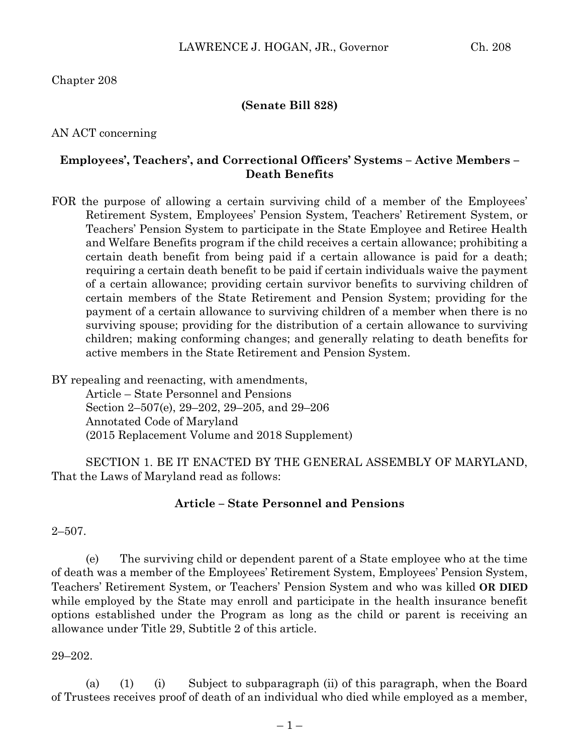Chapter 208

#### **(Senate Bill 828)**

AN ACT concerning

## **Employees', Teachers', and Correctional Officers' Systems – Active Members – Death Benefits**

FOR the purpose of allowing a certain surviving child of a member of the Employees' Retirement System, Employees' Pension System, Teachers' Retirement System, or Teachers' Pension System to participate in the State Employee and Retiree Health and Welfare Benefits program if the child receives a certain allowance; prohibiting a certain death benefit from being paid if a certain allowance is paid for a death; requiring a certain death benefit to be paid if certain individuals waive the payment of a certain allowance; providing certain survivor benefits to surviving children of certain members of the State Retirement and Pension System; providing for the payment of a certain allowance to surviving children of a member when there is no surviving spouse; providing for the distribution of a certain allowance to surviving children; making conforming changes; and generally relating to death benefits for active members in the State Retirement and Pension System.

BY repealing and reenacting, with amendments, Article – State Personnel and Pensions Section 2–507(e), 29–202, 29–205, and 29–206 Annotated Code of Maryland (2015 Replacement Volume and 2018 Supplement)

SECTION 1. BE IT ENACTED BY THE GENERAL ASSEMBLY OF MARYLAND, That the Laws of Maryland read as follows:

#### **Article – State Personnel and Pensions**

#### $2 - 507$ .

(e) The surviving child or dependent parent of a State employee who at the time of death was a member of the Employees' Retirement System, Employees' Pension System, Teachers' Retirement System, or Teachers' Pension System and who was killed **OR DIED** while employed by the State may enroll and participate in the health insurance benefit options established under the Program as long as the child or parent is receiving an allowance under Title 29, Subtitle 2 of this article.

#### 29–202.

(a) (1) (i) Subject to subparagraph (ii) of this paragraph, when the Board of Trustees receives proof of death of an individual who died while employed as a member,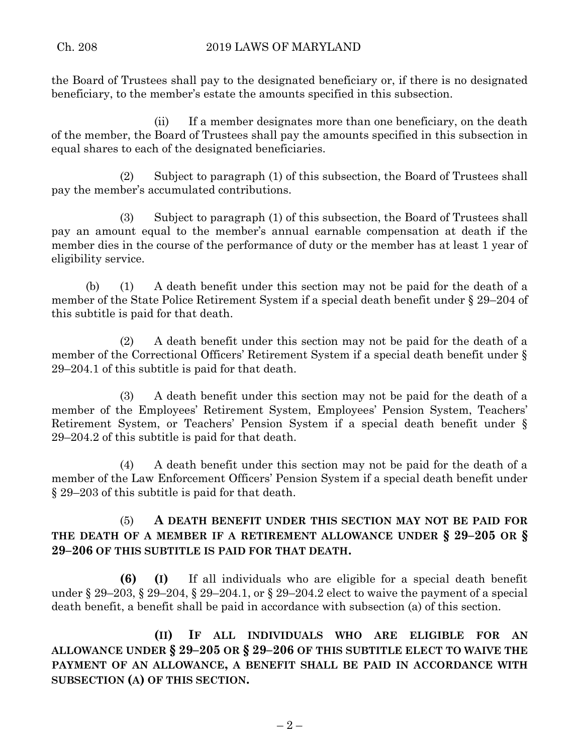the Board of Trustees shall pay to the designated beneficiary or, if there is no designated beneficiary, to the member's estate the amounts specified in this subsection.

(ii) If a member designates more than one beneficiary, on the death of the member, the Board of Trustees shall pay the amounts specified in this subsection in equal shares to each of the designated beneficiaries.

(2) Subject to paragraph (1) of this subsection, the Board of Trustees shall pay the member's accumulated contributions.

(3) Subject to paragraph (1) of this subsection, the Board of Trustees shall pay an amount equal to the member's annual earnable compensation at death if the member dies in the course of the performance of duty or the member has at least 1 year of eligibility service.

(b) (1) A death benefit under this section may not be paid for the death of a member of the State Police Retirement System if a special death benefit under § 29–204 of this subtitle is paid for that death.

(2) A death benefit under this section may not be paid for the death of a member of the Correctional Officers' Retirement System if a special death benefit under § 29–204.1 of this subtitle is paid for that death.

(3) A death benefit under this section may not be paid for the death of a member of the Employees' Retirement System, Employees' Pension System, Teachers' Retirement System, or Teachers' Pension System if a special death benefit under § 29–204.2 of this subtitle is paid for that death.

(4) A death benefit under this section may not be paid for the death of a member of the Law Enforcement Officers' Pension System if a special death benefit under § 29–203 of this subtitle is paid for that death.

# (5) **A DEATH BENEFIT UNDER THIS SECTION MAY NOT BE PAID FOR THE DEATH OF A MEMBER IF A RETIREMENT ALLOWANCE UNDER § 29–205 OR § 29–206 OF THIS SUBTITLE IS PAID FOR THAT DEATH.**

**(6) (I)** If all individuals who are eligible for a special death benefit under § 29–203, § 29–204, § 29–204.1, or § 29–204.2 elect to waive the payment of a special death benefit, a benefit shall be paid in accordance with subsection (a) of this section.

**(II) IF ALL INDIVIDUALS WHO ARE ELIGIBLE FOR AN ALLOWANCE UNDER § 29–205 OR § 29–206 OF THIS SUBTITLE ELECT TO WAIVE THE PAYMENT OF AN ALLOWANCE, A BENEFIT SHALL BE PAID IN ACCORDANCE WITH SUBSECTION (A) OF THIS SECTION.**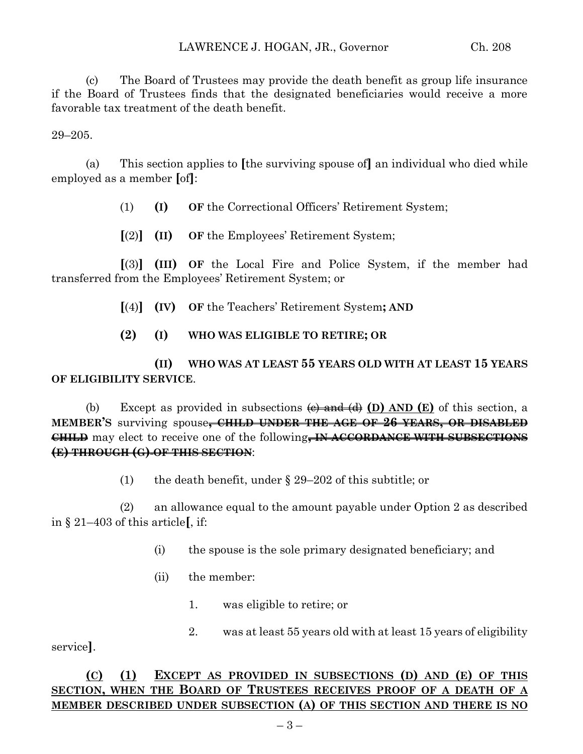(c) The Board of Trustees may provide the death benefit as group life insurance if the Board of Trustees finds that the designated beneficiaries would receive a more favorable tax treatment of the death benefit.

29–205.

(a) This section applies to **[**the surviving spouse of**]** an individual who died while employed as a member **[**of**]**:

(1) **(I) OF** the Correctional Officers' Retirement System;

**[**(2)**] (II) OF** the Employees' Retirement System;

**[**(3)**] (III) OF** the Local Fire and Police System, if the member had transferred from the Employees' Retirement System; or

- **[**(4)**] (IV) OF** the Teachers' Retirement System**; AND**
- **(2) (I) WHO WAS ELIGIBLE TO RETIRE; OR**

**(II) WHO WAS AT LEAST 55 YEARS OLD WITH AT LEAST 15 YEARS OF ELIGIBILITY SERVICE**.

(b) Except as provided in subsections (c) and (d) **(D) AND (E)** of this section, a **MEMBER'S** surviving spouse**, CHILD UNDER THE AGE OF 26 YEARS, OR DISABLED CHILD** may elect to receive one of the following**, IN ACCORDANCE WITH SUBSECTIONS (E) THROUGH (G) OF THIS SECTION**:

(1) the death benefit, under § 29–202 of this subtitle; or

(2) an allowance equal to the amount payable under Option 2 as described in § 21–403 of this article**[**, if:

- (i) the spouse is the sole primary designated beneficiary; and
- (ii) the member:
	- 1. was eligible to retire; or
- 2. was at least 55 years old with at least 15 years of eligibility

service**]**.

# **(C) (1) EXCEPT AS PROVIDED IN SUBSECTIONS (D) AND (E) OF THIS SECTION, WHEN THE BOARD OF TRUSTEES RECEIVES PROOF OF A DEATH OF A MEMBER DESCRIBED UNDER SUBSECTION (A) OF THIS SECTION AND THERE IS NO**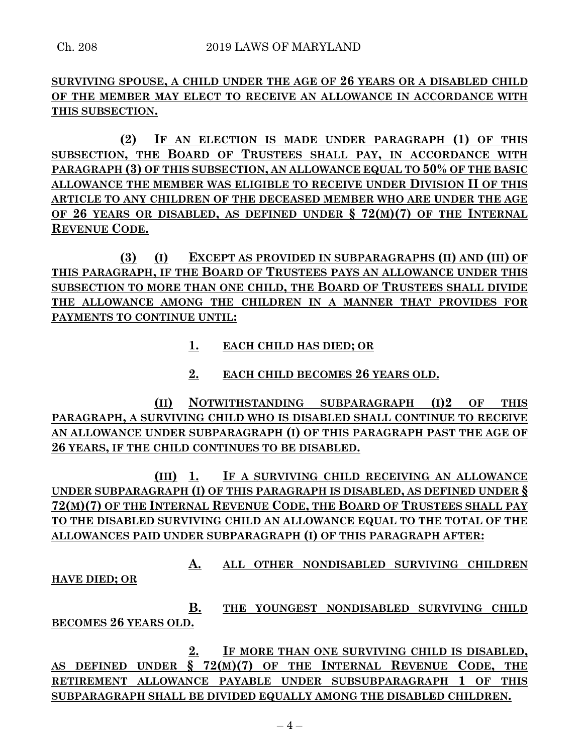**SURVIVING SPOUSE, A CHILD UNDER THE AGE OF 26 YEARS OR A DISABLED CHILD OF THE MEMBER MAY ELECT TO RECEIVE AN ALLOWANCE IN ACCORDANCE WITH THIS SUBSECTION.**

**(2) IF AN ELECTION IS MADE UNDER PARAGRAPH (1) OF THIS SUBSECTION, THE BOARD OF TRUSTEES SHALL PAY, IN ACCORDANCE WITH PARAGRAPH (3) OF THIS SUBSECTION, AN ALLOWANCE EQUAL TO 50% OF THE BASIC ALLOWANCE THE MEMBER WAS ELIGIBLE TO RECEIVE UNDER DIVISION II OF THIS ARTICLE TO ANY CHILDREN OF THE DECEASED MEMBER WHO ARE UNDER THE AGE OF 26 YEARS OR DISABLED, AS DEFINED UNDER § 72(M)(7) OF THE INTERNAL REVENUE CODE.**

**(3) (I) EXCEPT AS PROVIDED IN SUBPARAGRAPHS (II) AND (III) OF THIS PARAGRAPH, IF THE BOARD OF TRUSTEES PAYS AN ALLOWANCE UNDER THIS SUBSECTION TO MORE THAN ONE CHILD, THE BOARD OF TRUSTEES SHALL DIVIDE THE ALLOWANCE AMONG THE CHILDREN IN A MANNER THAT PROVIDES FOR PAYMENTS TO CONTINUE UNTIL:**

- **1. EACH CHILD HAS DIED; OR**
- **2. EACH CHILD BECOMES 26 YEARS OLD.**

**(II) NOTWITHSTANDING SUBPARAGRAPH (I)2 OF THIS PARAGRAPH, A SURVIVING CHILD WHO IS DISABLED SHALL CONTINUE TO RECEIVE AN ALLOWANCE UNDER SUBPARAGRAPH (I) OF THIS PARAGRAPH PAST THE AGE OF 26 YEARS, IF THE CHILD CONTINUES TO BE DISABLED.**

**(III) 1. IF A SURVIVING CHILD RECEIVING AN ALLOWANCE UNDER SUBPARAGRAPH (I) OF THIS PARAGRAPH IS DISABLED, AS DEFINED UNDER § 72(M)(7) OF THE INTERNAL REVENUE CODE, THE BOARD OF TRUSTEES SHALL PAY TO THE DISABLED SURVIVING CHILD AN ALLOWANCE EQUAL TO THE TOTAL OF THE ALLOWANCES PAID UNDER SUBPARAGRAPH (I) OF THIS PARAGRAPH AFTER:**

**A. ALL OTHER NONDISABLED SURVIVING CHILDREN HAVE DIED; OR**

**B. THE YOUNGEST NONDISABLED SURVIVING CHILD BECOMES 26 YEARS OLD.**

**2. IF MORE THAN ONE SURVIVING CHILD IS DISABLED, AS DEFINED UNDER § 72(M)(7) OF THE INTERNAL REVENUE CODE, THE RETIREMENT ALLOWANCE PAYABLE UNDER SUBSUBPARAGRAPH 1 OF THIS SUBPARAGRAPH SHALL BE DIVIDED EQUALLY AMONG THE DISABLED CHILDREN.**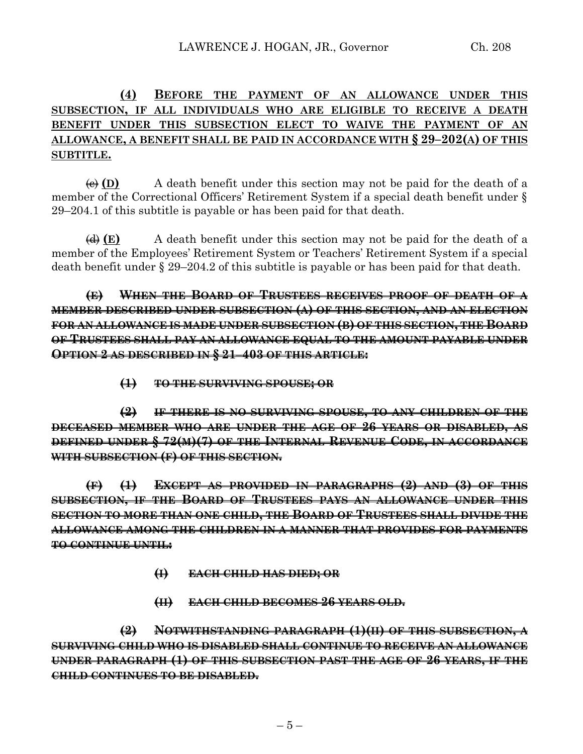# **(4) BEFORE THE PAYMENT OF AN ALLOWANCE UNDER THIS SUBSECTION, IF ALL INDIVIDUALS WHO ARE ELIGIBLE TO RECEIVE A DEATH BENEFIT UNDER THIS SUBSECTION ELECT TO WAIVE THE PAYMENT OF AN ALLOWANCE, A BENEFIT SHALL BE PAID IN ACCORDANCE WITH § 29–202(A) OF THIS SUBTITLE.**

 $\overline{A}(E)$  A death benefit under this section may not be paid for the death of a member of the Correctional Officers' Retirement System if a special death benefit under § 29–204.1 of this subtitle is payable or has been paid for that death.

(d) **(E)** A death benefit under this section may not be paid for the death of a member of the Employees' Retirement System or Teachers' Retirement System if a special death benefit under § 29–204.2 of this subtitle is payable or has been paid for that death.

**(E) WHEN THE BOARD OF TRUSTEES RECEIVES PROOF OF DEATH OF A MEMBER DESCRIBED UNDER SUBSECTION (A) OF THIS SECTION, AND AN ELECTION FOR AN ALLOWANCE IS MADE UNDER SUBSECTION (B) OF THIS SECTION, THE BOARD OF TRUSTEES SHALL PAY AN ALLOWANCE EQUAL TO THE AMOUNT PAYABLE UNDER OPTION 2 AS DESCRIBED IN § 21–403 OF THIS ARTICLE:**

**(1) TO THE SURVIVING SPOUSE; OR**

**(2) IF THERE IS NO SURVIVING SPOUSE, TO ANY CHILDREN OF THE DECEASED MEMBER WHO ARE UNDER THE AGE OF 26 YEARS OR DISABLED, AS DEFINED UNDER § 72(M)(7) OF THE INTERNAL REVENUE CODE, IN ACCORDANCE WITH SUBSECTION (F) OF THIS SECTION.**

**(F) (1) EXCEPT AS PROVIDED IN PARAGRAPHS (2) AND (3) OF THIS SUBSECTION, IF THE BOARD OF TRUSTEES PAYS AN ALLOWANCE UNDER THIS SECTION TO MORE THAN ONE CHILD, THE BOARD OF TRUSTEES SHALL DIVIDE THE ALLOWANCE AMONG THE CHILDREN IN A MANNER THAT PROVIDES FOR PAYMENTS TO CONTINUE UNTIL:**

- **(I) EACH CHILD HAS DIED; OR**
- **(II) EACH CHILD BECOMES 26 YEARS OLD.**

**(2) NOTWITHSTANDING PARAGRAPH (1)(II) OF THIS SUBSECTION, A SURVIVING CHILD WHO IS DISABLED SHALL CONTINUE TO RECEIVE AN ALLOWANCE UNDER PARAGRAPH (1) OF THIS SUBSECTION PAST THE AGE OF 26 YEARS, IF THE CHILD CONTINUES TO BE DISABLED.**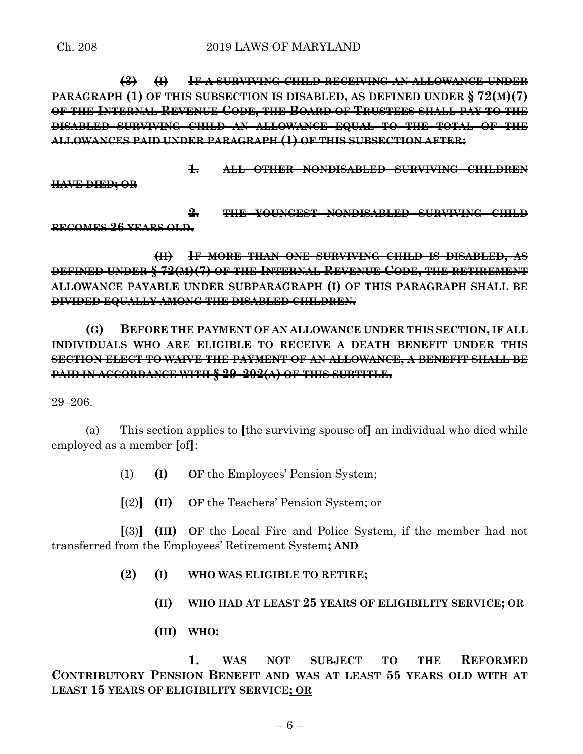**(3) (I) IF A SURVIVING CHILD RECEIVING AN ALLOWANCE UNDER PARAGRAPH (1) OF THIS SUBSECTION IS DISABLED, AS DEFINED UNDER § 72(M)(7) OF THE INTERNAL REVENUE CODE, THE BOARD OF TRUSTEES SHALL PAY TO THE DISABLED SURVIVING CHILD AN ALLOWANCE EQUAL TO THE TOTAL OF THE ALLOWANCES PAID UNDER PARAGRAPH (1) OF THIS SUBSECTION AFTER:**

**1. ALL OTHER NONDISABLED SURVIVING CHILDREN**

**HAVE DIED; OR**

**2. THE YOUNGEST NONDISABLED SURVIVING CHILD BECOMES 26 YEARS OLD.**

**(II) IF MORE THAN ONE SURVIVING CHILD IS DISABLED, AS DEFINED UNDER § 72(M)(7) OF THE INTERNAL REVENUE CODE, THE RETIREMENT ALLOWANCE PAYABLE UNDER SUBPARAGRAPH (I) OF THIS PARAGRAPH SHALL BE DIVIDED EQUALLY AMONG THE DISABLED CHILDREN.**

**(G) BEFORE THE PAYMENT OF AN ALLOWANCE UNDER THIS SECTION, IF ALL INDIVIDUALS WHO ARE ELIGIBLE TO RECEIVE A DEATH BENEFIT UNDER THIS SECTION ELECT TO WAIVE THE PAYMENT OF AN ALLOWANCE, A BENEFIT SHALL BE PAID IN ACCORDANCE WITH § 29–202(A) OF THIS SUBTITLE.**

29–206.

(a) This section applies to **[**the surviving spouse of**]** an individual who died while employed as a member **[**of**]**:

(1) **(I) OF** the Employees' Pension System;

**[**(2)**] (II) OF** the Teachers' Pension System; or

**[**(3)**] (III) OF** the Local Fire and Police System, if the member had not transferred from the Employees' Retirement System**; AND**

**(2) (I) WHO WAS ELIGIBLE TO RETIRE;**

- **(II) WHO HAD AT LEAST 25 YEARS OF ELIGIBILITY SERVICE; OR**
- **(III) WHO:**

**1. WAS NOT SUBJECT TO THE REFORMED CONTRIBUTORY PENSION BENEFIT AND WAS AT LEAST 55 YEARS OLD WITH AT LEAST 15 YEARS OF ELIGIBILITY SERVICE; OR**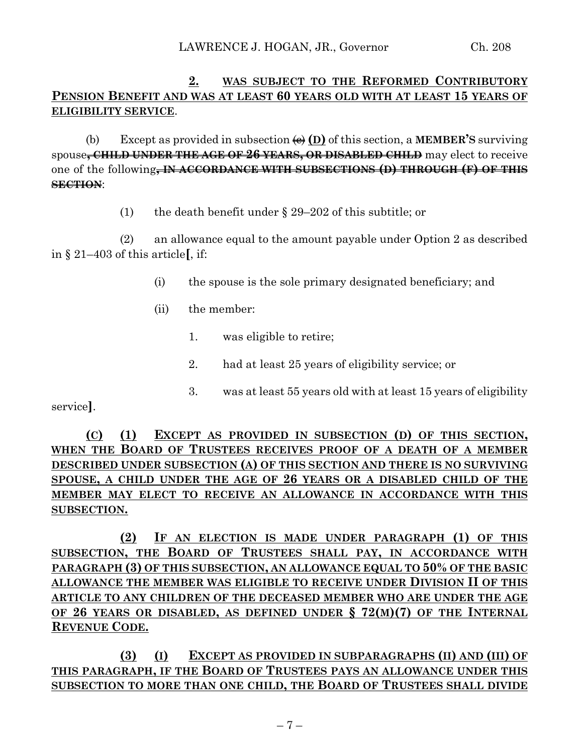# **2. WAS SUBJECT TO THE REFORMED CONTRIBUTORY PENSION BENEFIT AND WAS AT LEAST 60 YEARS OLD WITH AT LEAST 15 YEARS OF ELIGIBILITY SERVICE**.

(b) Except as provided in subsection  $\overline{\Theta}$  (D) of this section, a **MEMBER'S** surviving spouse**, CHILD UNDER THE AGE OF 26 YEARS, OR DISABLED CHILD** may elect to receive one of the following**, IN ACCORDANCE WITH SUBSECTIONS (D) THROUGH (F) OF THIS SECTION**:

(1) the death benefit under § 29–202 of this subtitle; or

(2) an allowance equal to the amount payable under Option 2 as described in § 21–403 of this article**[**, if:

- (i) the spouse is the sole primary designated beneficiary; and
- (ii) the member:
	- 1. was eligible to retire;
	- 2. had at least 25 years of eligibility service; or
	- 3. was at least 55 years old with at least 15 years of eligibility

service**]**.

**(C) (1) EXCEPT AS PROVIDED IN SUBSECTION (D) OF THIS SECTION, WHEN THE BOARD OF TRUSTEES RECEIVES PROOF OF A DEATH OF A MEMBER DESCRIBED UNDER SUBSECTION (A) OF THIS SECTION AND THERE IS NO SURVIVING SPOUSE, A CHILD UNDER THE AGE OF 26 YEARS OR A DISABLED CHILD OF THE MEMBER MAY ELECT TO RECEIVE AN ALLOWANCE IN ACCORDANCE WITH THIS SUBSECTION.**

**(2) IF AN ELECTION IS MADE UNDER PARAGRAPH (1) OF THIS SUBSECTION, THE BOARD OF TRUSTEES SHALL PAY, IN ACCORDANCE WITH PARAGRAPH (3) OF THIS SUBSECTION, AN ALLOWANCE EQUAL TO 50% OF THE BASIC ALLOWANCE THE MEMBER WAS ELIGIBLE TO RECEIVE UNDER DIVISION II OF THIS ARTICLE TO ANY CHILDREN OF THE DECEASED MEMBER WHO ARE UNDER THE AGE OF 26 YEARS OR DISABLED, AS DEFINED UNDER § 72(M)(7) OF THE INTERNAL REVENUE CODE.**

**(3) (I) EXCEPT AS PROVIDED IN SUBPARAGRAPHS (II) AND (III) OF THIS PARAGRAPH, IF THE BOARD OF TRUSTEES PAYS AN ALLOWANCE UNDER THIS SUBSECTION TO MORE THAN ONE CHILD, THE BOARD OF TRUSTEES SHALL DIVIDE**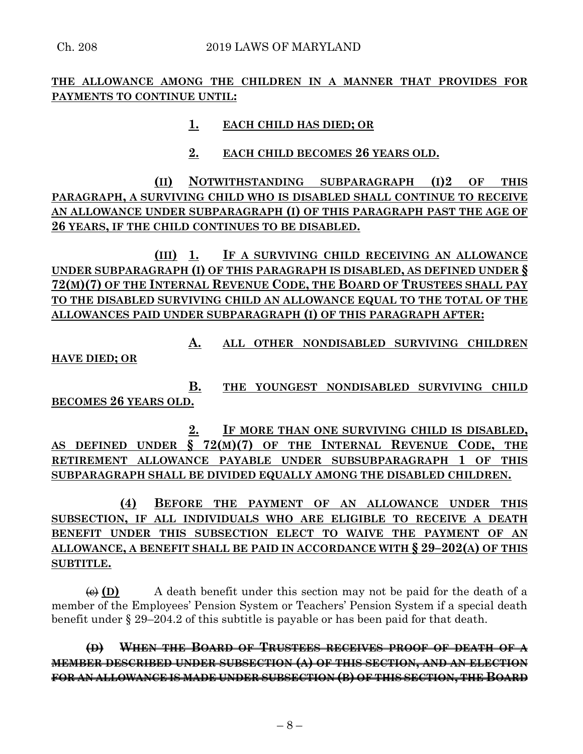**THE ALLOWANCE AMONG THE CHILDREN IN A MANNER THAT PROVIDES FOR PAYMENTS TO CONTINUE UNTIL:**

## **1. EACH CHILD HAS DIED; OR**

## **2. EACH CHILD BECOMES 26 YEARS OLD.**

**(II) NOTWITHSTANDING SUBPARAGRAPH (I)2 OF THIS PARAGRAPH, A SURVIVING CHILD WHO IS DISABLED SHALL CONTINUE TO RECEIVE AN ALLOWANCE UNDER SUBPARAGRAPH (I) OF THIS PARAGRAPH PAST THE AGE OF 26 YEARS, IF THE CHILD CONTINUES TO BE DISABLED.**

**(III) 1. IF A SURVIVING CHILD RECEIVING AN ALLOWANCE UNDER SUBPARAGRAPH (I) OF THIS PARAGRAPH IS DISABLED, AS DEFINED UNDER § 72(M)(7) OF THE INTERNAL REVENUE CODE, THE BOARD OF TRUSTEES SHALL PAY TO THE DISABLED SURVIVING CHILD AN ALLOWANCE EQUAL TO THE TOTAL OF THE ALLOWANCES PAID UNDER SUBPARAGRAPH (I) OF THIS PARAGRAPH AFTER:**

**A. ALL OTHER NONDISABLED SURVIVING CHILDREN HAVE DIED; OR**

**B. THE YOUNGEST NONDISABLED SURVIVING CHILD BECOMES 26 YEARS OLD.**

**2. IF MORE THAN ONE SURVIVING CHILD IS DISABLED, AS DEFINED UNDER § 72(M)(7) OF THE INTERNAL REVENUE CODE, THE RETIREMENT ALLOWANCE PAYABLE UNDER SUBSUBPARAGRAPH 1 OF THIS SUBPARAGRAPH SHALL BE DIVIDED EQUALLY AMONG THE DISABLED CHILDREN.**

**(4) BEFORE THE PAYMENT OF AN ALLOWANCE UNDER THIS SUBSECTION, IF ALL INDIVIDUALS WHO ARE ELIGIBLE TO RECEIVE A DEATH BENEFIT UNDER THIS SUBSECTION ELECT TO WAIVE THE PAYMENT OF AN ALLOWANCE, A BENEFIT SHALL BE PAID IN ACCORDANCE WITH § 29–202(A) OF THIS SUBTITLE.**

 $\overline{\Theta}$  (D) A death benefit under this section may not be paid for the death of a member of the Employees' Pension System or Teachers' Pension System if a special death benefit under § 29–204.2 of this subtitle is payable or has been paid for that death.

**(D) WHEN THE BOARD OF TRUSTEES RECEIVES PROOF OF DEATH OF A MEMBER DESCRIBED UNDER SUBSECTION (A) OF THIS SECTION, AND AN ELECTION FOR AN ALLOWANCE IS MADE UNDER SUBSECTION (B) OF THIS SECTION, THE BOARD**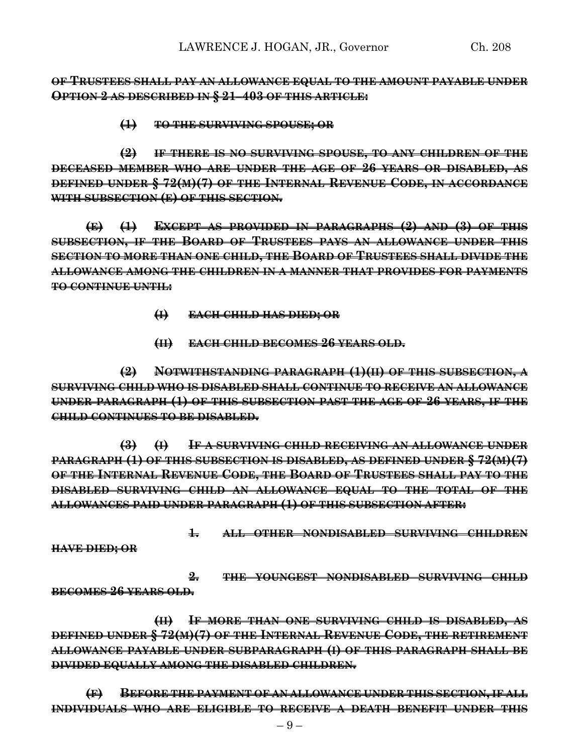**OF TRUSTEES SHALL PAY AN ALLOWANCE EQUAL TO THE AMOUNT PAYABLE UNDER OPTION 2 AS DESCRIBED IN § 21–403 OF THIS ARTICLE:**

**(1) TO THE SURVIVING SPOUSE; OR**

**(2) IF THERE IS NO SURVIVING SPOUSE, TO ANY CHILDREN OF THE DECEASED MEMBER WHO ARE UNDER THE AGE OF 26 YEARS OR DISABLED, AS DEFINED UNDER § 72(M)(7) OF THE INTERNAL REVENUE CODE, IN ACCORDANCE WITH SUBSECTION (E) OF THIS SECTION.**

**(E) (1) EXCEPT AS PROVIDED IN PARAGRAPHS (2) AND (3) OF THIS SUBSECTION, IF THE BOARD OF TRUSTEES PAYS AN ALLOWANCE UNDER THIS SECTION TO MORE THAN ONE CHILD, THE BOARD OF TRUSTEES SHALL DIVIDE THE ALLOWANCE AMONG THE CHILDREN IN A MANNER THAT PROVIDES FOR PAYMENTS TO CONTINUE UNTIL:**

- **(I) EACH CHILD HAS DIED; OR**
- **(II) EACH CHILD BECOMES 26 YEARS OLD.**

**(2) NOTWITHSTANDING PARAGRAPH (1)(II) OF THIS SUBSECTION, A SURVIVING CHILD WHO IS DISABLED SHALL CONTINUE TO RECEIVE AN ALLOWANCE UNDER PARAGRAPH (1) OF THIS SUBSECTION PAST THE AGE OF 26 YEARS, IF THE CHILD CONTINUES TO BE DISABLED.**

**(3) (I) IF A SURVIVING CHILD RECEIVING AN ALLOWANCE UNDER PARAGRAPH (1) OF THIS SUBSECTION IS DISABLED, AS DEFINED UNDER § 72(M)(7) OF THE INTERNAL REVENUE CODE, THE BOARD OF TRUSTEES SHALL PAY TO THE DISABLED SURVIVING CHILD AN ALLOWANCE EQUAL TO THE TOTAL OF THE ALLOWANCES PAID UNDER PARAGRAPH (1) OF THIS SUBSECTION AFTER:**

**1. ALL OTHER NONDISABLED SURVIVING CHILDREN**

**HAVE DIED; OR**

**2. THE YOUNGEST NONDISABLED SURVIVING CHILD BECOMES 26 YEARS OLD.**

**(II) IF MORE THAN ONE SURVIVING CHILD IS DISABLED, AS DEFINED UNDER § 72(M)(7) OF THE INTERNAL REVENUE CODE, THE RETIREMENT ALLOWANCE PAYABLE UNDER SUBPARAGRAPH (I) OF THIS PARAGRAPH SHALL BE DIVIDED EQUALLY AMONG THE DISABLED CHILDREN.**

**(F) BEFORE THE PAYMENT OF AN ALLOWANCE UNDER THIS SECTION, IF ALL INDIVIDUALS WHO ARE ELIGIBLE TO RECEIVE A DEATH BENEFIT UNDER THIS**